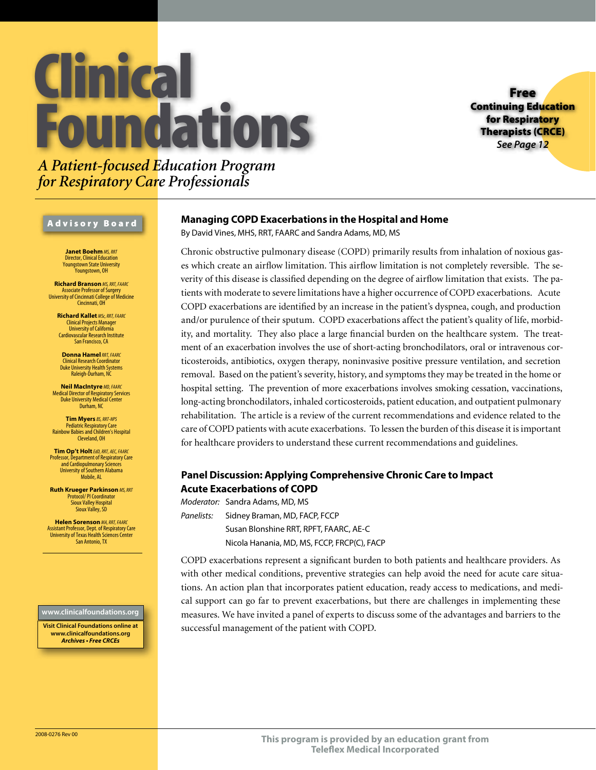# **Clinica Foundations**

Free Continuing Education for Respiratory Therapists (CRCE) *See Page 12*

# *A Patient-focused Education Program for Respiratory Care Professionals*

### Advisory Board

**Janet Boehm** *MS, RRT* Director, Clinical Education Youngstown State University Youngstown, OH

**Richard Branson** *MS, RRT, FAARC* Associate Professor of Surgery University of Cincinnati College of Medicine Cincinnati, OH

**Richard Kallet** *MSc, RRT, FAARC* Clinical Projects Manager University of California Cardiovascular Research Institute San Francisco, CA

**Donna Hamel***RRT, FAARC* Clinical Research Coordinator Duke University Health Systems Raleigh-Durham, NC

**Neil MacIntyre** *MD, FAARC* Medical Director of Respiratory Services Duke University Medical Center Durham, NC

**Tim Myers** *BS, RRT-NPS* Pediatric Respiratory Care Rainbow Babies and Children's Hospital Cleveland, OH

**Tim Op't Holt***EdD, RRT, AEC, FAARC* Professor, Department of Respiratory Care and Cardiopulmonary Sciences University of Southern Alabama Mobile, AL

**Ruth Krueger Parkinson** *MS, RRT* Protocol/ PI Coordinator Sioux Valley Hospital Sioux Valley, SD

**Helen Sorenson** *MA, RRT, FAARC* Assistant Professor, Dept. of Respiratory Care University of Texas Health Sciences Center San Antonio, TX

### **www.clinicalfoundations.org**

**Visit Clinical Foundations online at www.clinicalfoundations.org** *Archives • Free CRCEs*

# **Managing COPD Exacerbations in the Hospital and Home**

By David Vines, MHS, RRT, FAARC and Sandra Adams, MD, MS

Chronic obstructive pulmonary disease (COPD) primarily results from inhalation of noxious gases which create an airflow limitation. This airflow limitation is not completely reversible. The severity of this disease is classified depending on the degree of airflow limitation that exists. The patients with moderate to severe limitations have a higher occurrence of COPD exacerbations. Acute COPD exacerbations are identified by an increase in the patient's dyspnea, cough, and production and/or purulence of their sputum. COPD exacerbations affect the patient's quality of life, morbidity, and mortality. They also place a large financial burden on the healthcare system. The treatment of an exacerbation involves the use of short-acting bronchodilators, oral or intravenous corticosteroids, antibiotics, oxygen therapy, noninvasive positive pressure ventilation, and secretion removal. Based on the patient's severity, history, and symptoms they may be treated in the home or hospital setting. The prevention of more exacerbations involves smoking cessation, vaccinations, long-acting bronchodilators, inhaled corticosteroids, patient education, and outpatient pulmonary rehabilitation. The article is a review of the current recommendations and evidence related to the care of COPD patients with acute exacerbations. To lessen the burden of this disease it is important for healthcare providers to understand these current recommendations and guidelines.

## **Panel Discussion: Applying Comprehensive Chronic Care to Impact Acute Exacerbations of COPD**

*Moderator:* Sandra Adams, MD, MS *Panelists:* Sidney Braman, MD, FACP, FCCP Susan Blonshine RRT, RPFT, FAARC, AE-C Nicola Hanania, MD, MS, FCCP, FRCP(C), FACP

COPD exacerbations represent a significant burden to both patients and healthcare providers. As with other medical conditions, preventive strategies can help avoid the need for acute care situations. An action plan that incorporates patient education, ready access to medications, and medical support can go far to prevent exacerbations, but there are challenges in implementing these measures. We have invited a panel of experts to discuss some of the advantages and barriers to the successful management of the patient with COPD.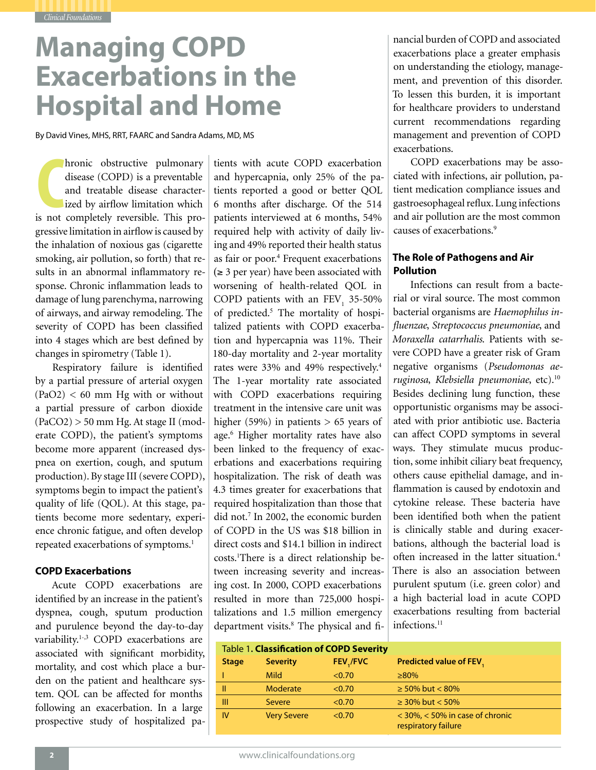# **Managing COPD Exacerbations in the Hospital and Home**

By David Vines, MHS, RRT, FAARC and Sandra Adams, MD, MS

hronic obstructive pulmonary<br>disease (COPD) is a preventable<br>and treatable disease character-<br>ized by airflow limitation which<br>is not completely reversible. This prohronic obstructive pulmonary disease (COPD) is a preventable and treatable disease characterized by airflow limitation which gressive limitation in airflow is caused by the inhalation of noxious gas (cigarette smoking, air pollution, so forth) that results in an abnormal inflammatory response. Chronic inflammation leads to damage of lung parenchyma, narrowing of airways, and airway remodeling. The severity of COPD has been classified into 4 stages which are best defined by changes in spirometry (Table 1).

Respiratory failure is identified by a partial pressure of arterial oxygen  $(PaO2) < 60$  mm Hg with or without a partial pressure of carbon dioxide (PaCO2) > 50 mm Hg. At stage II (moderate COPD), the patient's symptoms become more apparent (increased dyspnea on exertion, cough, and sputum production). By stage III (severe COPD), symptoms begin to impact the patient's quality of life (QOL). At this stage, patients become more sedentary, experience chronic fatigue, and often develop repeated exacerbations of symptoms.<sup>1</sup>

### **COPD Exacerbations**

Acute COPD exacerbations are identified by an increase in the patient's dyspnea, cough, sputum production and purulence beyond the day-to-day variability.<sup>1-,3</sup> COPD exacerbations are associated with significant morbidity, mortality, and cost which place a burden on the patient and healthcare system. QOL can be affected for months following an exacerbation. In a large prospective study of hospitalized patients with acute COPD exacerbation and hypercapnia, only 25% of the patients reported a good or better QOL 6 months after discharge. Of the 514 patients interviewed at 6 months, 54% required help with activity of daily living and 49% reported their health status as fair or poor.<sup>4</sup> Frequent exacerbations  $(\geq 3$  per year) have been associated with worsening of health-related QOL in COPD patients with an  $FEV_1$  35-50% of predicted.<sup>5</sup> The mortality of hospitalized patients with COPD exacerbation and hypercapnia was 11%. Their 180-day mortality and 2-year mortality rates were 33% and 49% respectively.4 The 1-year mortality rate associated with COPD exacerbations requiring treatment in the intensive care unit was higher (59%) in patients  $> 65$  years of age.<sup>6</sup> Higher mortality rates have also been linked to the frequency of exacerbations and exacerbations requiring hospitalization. The risk of death was 4.3 times greater for exacerbations that required hospitalization than those that did not.<sup>7</sup> In 2002, the economic burden of COPD in the US was \$18 billion in direct costs and \$14.1 billion in indirect costs.<sup>1</sup>There is a direct relationship between increasing severity and increasing cost. In 2000, COPD exacerbations resulted in more than 725,000 hospitalizations and 1.5 million emergency department visits.<sup>8</sup> The physical and financial burden of COPD and associated exacerbations place a greater emphasis on understanding the etiology, management, and prevention of this disorder. To lessen this burden, it is important for healthcare providers to understand current recommendations regarding management and prevention of COPD exacerbations.

COPD exacerbations may be associated with infections, air pollution, patient medication compliance issues and gastroesophageal reflux. Lung infections and air pollution are the most common causes of exacerbations.<sup>9</sup>

## **The Role of Pathogens and Air Pollution**

Infections can result from a bacterial or viral source. The most common bacterial organisms are *Haemophilus influenzae*, *Streptococcus pneumoniae*, and *Moraxella catarrhalis*. Patients with severe COPD have a greater risk of Gram negative organisms (*Pseudomonas aeruginosa*, *Klebsiella pneumoniae*, etc).<sup>10</sup> Besides declining lung function, these opportunistic organisms may be associated with prior antibiotic use. Bacteria can affect COPD symptoms in several ways. They stimulate mucus production, some inhibit ciliary beat frequency, others cause epithelial damage, and inflammation is caused by endotoxin and cytokine release. These bacteria have been identified both when the patient is clinically stable and during exacerbations, although the bacterial load is often increased in the latter situation.4 There is also an association between purulent sputum (i.e. green color) and a high bacterial load in acute COPD exacerbations resulting from bacterial infections.<sup>11</sup>

# Table 1**. Classication of COPD Severity**

|              | 1991 - <b>1993 - 1993 - 1994 - 1995 - 1997</b> - 1998 - 1998 - 1998 - 1998 - 1998 - 1998 - 1998 - 1998 - 1999 - 199 |          |                                                            |  |  |
|--------------|---------------------------------------------------------------------------------------------------------------------|----------|------------------------------------------------------------|--|--|
| <b>Stage</b> | <b>Severity</b>                                                                                                     | FEV,/FVC | Predicted value of FEV,                                    |  |  |
|              | <b>Mild</b>                                                                                                         | < 0.70   | $>80\%$                                                    |  |  |
| Ш            | Moderate                                                                                                            | < 0.70   | $\geq 50\%$ but < 80%                                      |  |  |
| Ш            | <b>Severe</b>                                                                                                       | < 0.70   | $\geq$ 30% but < 50%                                       |  |  |
| IV           | <b>Very Severe</b>                                                                                                  | < 0.70   | $<$ 30%, $<$ 50% in case of chronic<br>respiratory failure |  |  |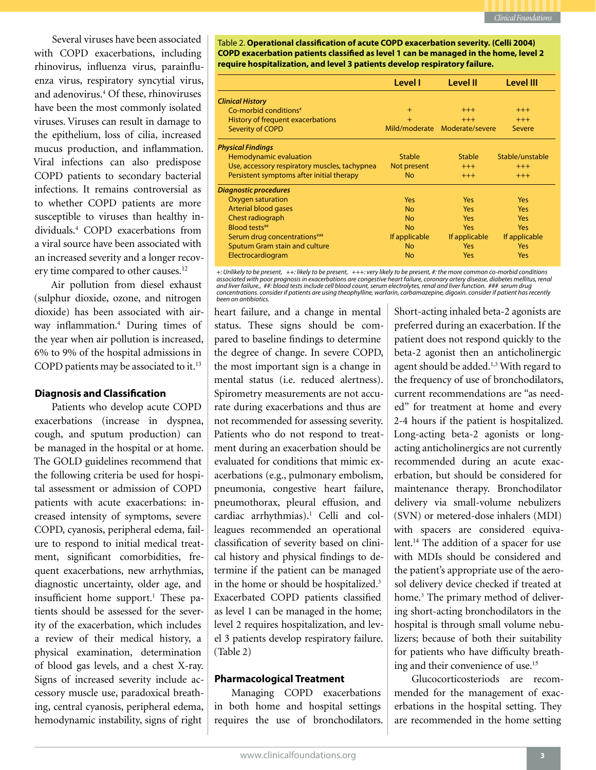Several viruses have been associated with COPD exacerbations, including rhinovirus, influenza virus, parainfluenza virus, respiratory syncytial virus, and adenovirus.4 Of these, rhinoviruses have been the most commonly isolated viruses. Viruses can result in damage to the epithelium, loss of cilia, increased mucus production, and inflammation. Viral infections can also predispose COPD patients to secondary bacterial infections. It remains controversial as to whether COPD patients are more susceptible to viruses than healthy individuals.4 COPD exacerbations from a viral source have been associated with an increased severity and a longer recovery time compared to other causes.<sup>12</sup>

Air pollution from diesel exhaust (sulphur dioxide, ozone, and nitrogen dioxide) has been associated with airway inflammation.4 During times of the year when air pollution is increased, 6% to 9% of the hospital admissions in COPD patients may be associated to it.<sup>13</sup>

### **Diagnosis and Classification**

Patients who develop acute COPD exacerbations (increase in dyspnea, cough, and sputum production) can be managed in the hospital or at home. The GOLD guidelines recommend that the following criteria be used for hospital assessment or admission of COPD patients with acute exacerbations: increased intensity of symptoms, severe COPD, cyanosis, peripheral edema, failure to respond to initial medical treatment, significant comorbidities, frequent exacerbations, new arrhythmias, diagnostic uncertainty, older age, and insufficient home support.<sup>1</sup> These patients should be assessed for the severity of the exacerbation, which includes a review of their medical history, a physical examination, determination of blood gas levels, and a chest X-ray. Signs of increased severity include accessory muscle use, paradoxical breathing, central cyanosis, peripheral edema, hemodynamic instability, signs of right

Table 2. **Operational classification of acute COPD exacerbation severity. (Celli 2004) COPD exacerbation patients classified as level 1 can be managed in the home, level 2 require hospitalization, and level 3 patients develop respiratory failure.** 

|                                               | Level I       | Level II                      | Level III       |
|-----------------------------------------------|---------------|-------------------------------|-----------------|
| <b>Clinical History</b>                       |               |                               |                 |
| $Co$ -morbid conditions <sup>#</sup>          | $+$           | $^{+++}$                      | $^{+++}$        |
| History of frequent exacerbations             | $+$           | $+++$                         | $+++$           |
| Severity of COPD                              |               | Mild/moderate Moderate/severe | Severe          |
| <b>Physical Findings</b>                      |               |                               |                 |
| Hemodynamic evaluation                        | <b>Stable</b> | <b>Stable</b>                 | Stable/unstable |
| Use, accessory respiratory muscles, tachypnea | Not present   | $^{+++}$                      | $^{+++}$        |
| Persistent symptoms after initial therapy     | <b>No</b>     | $+++$                         | $+++$           |
| <b>Diagnostic procedures</b>                  |               |                               |                 |
| Oxygen saturation                             | <b>Yes</b>    | <b>Yes</b>                    | <b>Yes</b>      |
| Arterial blood gases                          | <b>No</b>     | <b>Yes</b>                    | <b>Yes</b>      |
| Chest radiograph                              | <b>No</b>     | <b>Yes</b>                    | <b>Yes</b>      |
| Blood tests##                                 | <b>No</b>     | <b>Yes</b>                    | <b>Yes</b>      |
| Serum drug concentrations"***                 | If applicable | If applicable                 | If applicable   |
| Sputum Gram stain and culture                 | <b>No</b>     | <b>Yes</b>                    | Yes             |
| Electrocardiogram                             | <b>No</b>     | Yes                           | Yes             |

*+: Unlikely to be present, ++: likely to be present, +++: very likely to be present, #: the more common co-morbid conditions*  associated with poor prognosis in exacerbations are congestive heart failure, coronary artery disease, diabetes mellitus, renal<br>and liver failure., ##: blood tests include cell blood count, serum electrolytes, renal and li *been on antibiotics.*

heart failure, and a change in mental status. These signs should be compared to baseline findings to determine the degree of change. In severe COPD, the most important sign is a change in mental status (i.e. reduced alertness). Spirometry measurements are not accurate during exacerbations and thus are not recommended for assessing severity. Patients who do not respond to treatment during an exacerbation should be evaluated for conditions that mimic exacerbations (e.g., pulmonary embolism, pneumonia, congestive heart failure, pneumothorax, pleural effusion, and cardiac arrhythmias).<sup>1</sup> Celli and colleagues recommended an operational classification of severity based on clinical history and physical findings to determine if the patient can be managed in the home or should be hospitalized.3 Exacerbated COPD patients classified as level 1 can be managed in the home; level 2 requires hospitalization, and level 3 patients develop respiratory failure. (Table 2)

### **Pharmacological Treatment**

Managing COPD exacerbations in both home and hospital settings requires the use of bronchodilators.

Short-acting inhaled beta-2 agonists are preferred during an exacerbation. If the patient does not respond quickly to the beta-2 agonist then an anticholinergic agent should be added.<sup>1,3</sup> With regard to the frequency of use of bronchodilators, current recommendations are "as needed" for treatment at home and every 2-4 hours if the patient is hospitalized. Long-acting beta-2 agonists or longacting anticholinergics are not currently recommended during an acute exacerbation, but should be considered for maintenance therapy. Bronchodilator delivery via small-volume nebulizers (SVN) or metered-dose inhalers (MDI) with spacers are considered equivalent.<sup>14</sup> The addition of a spacer for use with MDIs should be considered and the patient's appropriate use of the aerosol delivery device checked if treated at home.3 The primary method of delivering short-acting bronchodilators in the hospital is through small volume nebulizers; because of both their suitability for patients who have difficulty breathing and their convenience of use.<sup>15</sup>

Glucocorticosteriods are recommended for the management of exacerbations in the hospital setting. They are recommended in the home setting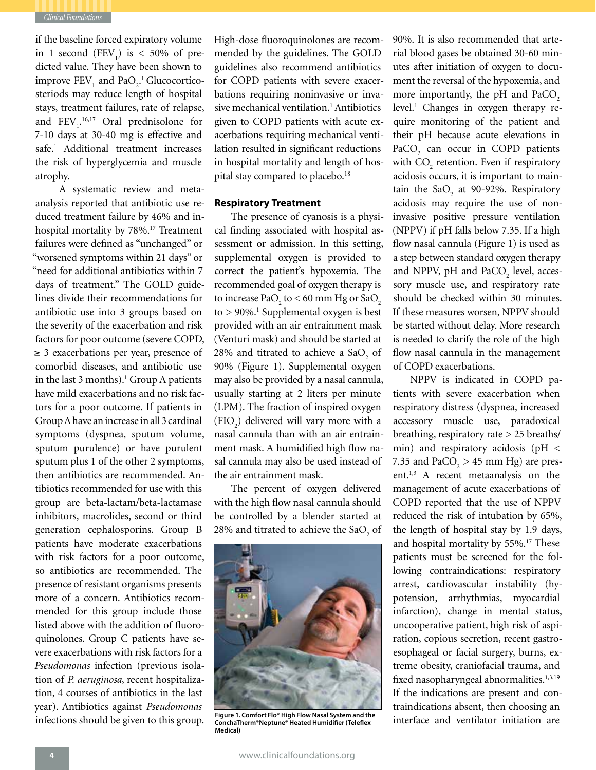

if the baseline forced expiratory volume in 1 second  $(FEV_1)$  is < 50% of predicted value. They have been shown to improve  $\text{FEV}_1$  and  $\text{PaO}_2$ .<sup>1</sup> Glucocorticosteriods may reduce length of hospital stays, treatment failures, rate of relapse, and  $FEV<sub>1</sub><sup>16,17</sup>$  Oral prednisolone for 7-10 days at 30-40 mg is effective and safe.<sup>1</sup> Additional treatment increases the risk of hyperglycemia and muscle atrophy.

 A systematic review and metaanalysis reported that antibiotic use reduced treatment failure by 46% and inhospital mortality by 78%.<sup>17</sup> Treatment failures were defined as "unchanged" or "worsened symptoms within 21 days" or "need for additional antibiotics within 7 days of treatment." The GOLD guidelines divide their recommendations for antibiotic use into 3 groups based on the severity of the exacerbation and risk factors for poor outcome (severe COPD, ≥ 3 exacerbations per year, presence of comorbid diseases, and antibiotic use in the last 3 months).<sup>1</sup> Group A patients have mild exacerbations and no risk factors for a poor outcome. If patients in Group A have an increase in all 3 cardinal symptoms (dyspnea, sputum volume, sputum purulence) or have purulent sputum plus 1 of the other 2 symptoms, then antibiotics are recommended. Antibiotics recommended for use with this group are beta-lactam/beta-lactamase inhibitors, macrolides, second or third generation cephalosporins. Group B patients have moderate exacerbations with risk factors for a poor outcome, so antibiotics are recommended. The presence of resistant organisms presents more of a concern. Antibiotics recommended for this group include those listed above with the addition of fluoroquinolones. Group C patients have severe exacerbations with risk factors for a *Pseudomonas* infection (previous isolation of *P. aeruginosa*, recent hospitalization, 4 courses of antibiotics in the last year). Antibiotics against *Pseudomonas* infections should be given to this group. High-dose fluoroquinolones are recommended by the guidelines. The GOLD guidelines also recommend antibiotics for COPD patients with severe exacerbations requiring noninvasive or invasive mechanical ventilation.<sup>1</sup> Antibiotics given to COPD patients with acute exacerbations requiring mechanical ventilation resulted in significant reductions in hospital mortality and length of hospital stay compared to placebo.<sup>18</sup>

### **Respiratory Treatment**

The presence of cyanosis is a physical finding associated with hospital assessment or admission. In this setting, supplemental oxygen is provided to correct the patient's hypoxemia. The recommended goal of oxygen therapy is to increase  $PaO<sub>2</sub>$  to  $<$  60 mm Hg or  $SaO<sub>2</sub>$  $to$  > 90%.<sup>1</sup> Supplemental oxygen is best provided with an air entrainment mask (Venturi mask) and should be started at 28% and titrated to achieve a SaO<sub>2</sub> of 90% (Figure 1). Supplemental oxygen may also be provided by a nasal cannula, usually starting at 2 liters per minute (LPM). The fraction of inspired oxygen  $(FIO<sub>2</sub>)$  delivered will vary more with a nasal cannula than with an air entrainment mask. A humidified high flow nasal cannula may also be used instead of the air entrainment mask.

The percent of oxygen delivered with the high flow nasal cannula should be controlled by a blender started at 28% and titrated to achieve the SaO<sub>2</sub> of



Figure 1. Comfort Flo® High Flow Nasal System and the **Figure 1. Common Propent Flow Propent**<br>ConchaTherm®Neptune® Heated Humidifier (Teleflex **Figure 1. Common Propent Propent Propen Medical)**

90%. It is also recommended that arterial blood gases be obtained 30-60 minutes after initiation of oxygen to document the reversal of the hypoxemia, and more importantly, the pH and PaCO<sub>2</sub> level.<sup>1</sup> Changes in oxygen therapy require monitoring of the patient and their pH because acute elevations in PaCO<sub>2</sub> can occur in COPD patients with  $\mathrm{CO}_2$  retention. Even if respiratory acidosis occurs, it is important to maintain the  $SaO<sub>2</sub>$  at 90-92%. Respiratory acidosis may require the use of noninvasive positive pressure ventilation (NPPV) if pH falls below 7.35. If a high flow nasal cannula (Figure 1) is used as a step between standard oxygen therapy and NPPV, pH and PaCO<sub>2</sub> level, accessory muscle use, and respiratory rate should be checked within 30 minutes. If these measures worsen, NPPV should be started without delay. More research is needed to clarify the role of the high flow nasal cannula in the management of COPD exacerbations.

NPPV is indicated in COPD patients with severe exacerbation when respiratory distress (dyspnea, increased accessory muscle use, paradoxical breathing, respiratory rate > 25 breaths/ min) and respiratory acidosis (pH < 7.35 and  $PaCO<sub>2</sub> > 45$  mm Hg) are present.<sup>1,3</sup> A recent metaanalysis on the management of acute exacerbations of COPD reported that the use of NPPV reduced the risk of intubation by 65%, the length of hospital stay by 1.9 days, and hospital mortality by 55%.17 These patients must be screened for the following contraindications: respiratory arrest, cardiovascular instability (hypotension, arrhythmias, myocardial infarction), change in mental status, uncooperative patient, high risk of aspiration, copious secretion, recent gastroesophageal or facial surgery, burns, extreme obesity, craniofacial trauma, and fixed nasopharyngeal abnormalities.<sup>1,3,19</sup> If the indications are present and contraindications absent, then choosing an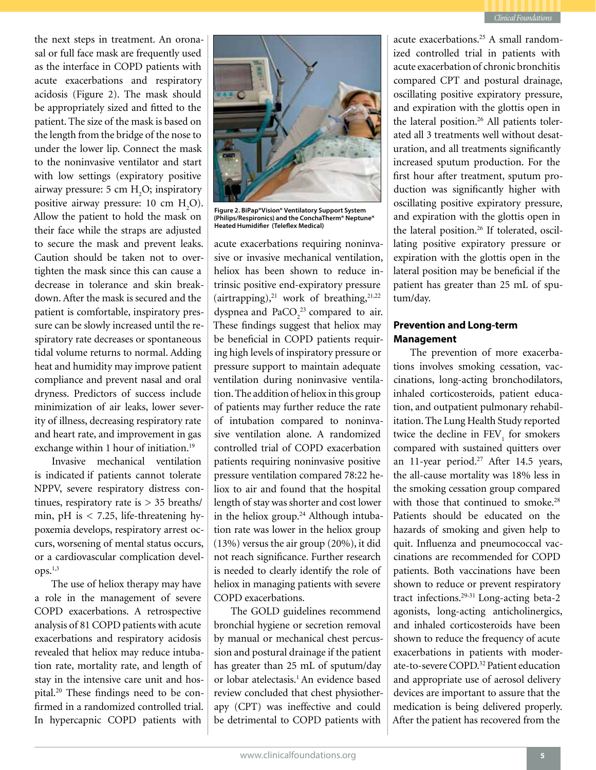

the next steps in treatment. An oronasal or full face mask are frequently used as the interface in COPD patients with acute exacerbations and respiratory acidosis (Figure 2). The mask should be appropriately sized and fitted to the patient. The size of the mask is based on the length from the bridge of the nose to under the lower lip. Connect the mask to the noninvasive ventilator and start with low settings (expiratory positive airway pressure:  $5 \text{ cm } H_2O$ ; inspiratory positive airway pressure: 10 cm  $H_2O$ ). Allow the patient to hold the mask on their face while the straps are adjusted to secure the mask and prevent leaks. Caution should be taken not to overtighten the mask since this can cause a decrease in tolerance and skin breakdown. After the mask is secured and the patient is comfortable, inspiratory pressure can be slowly increased until the respiratory rate decreases or spontaneous tidal volume returns to normal. Adding heat and humidity may improve patient compliance and prevent nasal and oral dryness. Predictors of success include minimization of air leaks, lower severity of illness, decreasing respiratory rate and heart rate, and improvement in gas exchange within 1 hour of initiation.<sup>19</sup>

Invasive mechanical ventilation is indicated if patients cannot tolerate NPPV, severe respiratory distress continues, respiratory rate is > 35 breaths/ min, pH is  $<$  7.25, life-threatening hypoxemia develops, respiratory arrest occurs, worsening of mental status occurs, or a cardiovascular complication devel- $ODS.<sup>1,3</sup>$ 

The use of heliox therapy may have a role in the management of severe COPD exacerbations. A retrospective analysis of 81 COPD patients with acute exacerbations and respiratory acidosis revealed that heliox may reduce intubation rate, mortality rate, and length of stay in the intensive care unit and hospital.20 These findings need to be confirmed in a randomized controlled trial. In hypercapnic COPD patients with



**Figure 2. BiPap®Vision® Ventilatory Support System (Philips/Respironics) and the ConchaTherm® Neptune® Heated Humidifier (Teleflex Medical)**

acute exacerbations requiring noninvasive or invasive mechanical ventilation, heliox has been shown to reduce intrinsic positive end-expiratory pressure (airtrapping), $21$  work of breathing, $21,22$ dyspnea and  $PaCO<sub>2</sub><sup>23</sup>$  compared to air. These findings suggest that heliox may be beneficial in COPD patients requiring high levels of inspiratory pressure or pressure support to maintain adequate ventilation during noninvasive ventilation. The addition of heliox in this group of patients may further reduce the rate of intubation compared to noninvasive ventilation alone. A randomized controlled trial of COPD exacerbation patients requiring noninvasive positive pressure ventilation compared 78:22 heliox to air and found that the hospital length of stay was shorter and cost lower in the heliox group.<sup>24</sup> Although intubation rate was lower in the heliox group (13%) versus the air group (20%), it did not reach significance. Further research is needed to clearly identify the role of heliox in managing patients with severe COPD exacerbations.

The GOLD guidelines recommend bronchial hygiene or secretion removal by manual or mechanical chest percussion and postural drainage if the patient has greater than 25 mL of sputum/day or lobar atelectasis.<sup>1</sup> An evidence based review concluded that chest physiotherapy (CPT) was ineffective and could be detrimental to COPD patients with

acute exacerbations.25 A small randomized controlled trial in patients with acute exacerbation of chronic bronchitis compared CPT and postural drainage, oscillating positive expiratory pressure, and expiration with the glottis open in the lateral position.<sup>26</sup> All patients tolerated all 3 treatments well without desaturation, and all treatments significantly increased sputum production. For the first hour after treatment, sputum production was significantly higher with oscillating positive expiratory pressure, and expiration with the glottis open in the lateral position.26 If tolerated, oscillating positive expiratory pressure or expiration with the glottis open in the lateral position may be beneficial if the patient has greater than 25 mL of sputum/day.

## **Prevention and Long-term Management**

The prevention of more exacerbations involves smoking cessation, vaccinations, long-acting bronchodilators, inhaled corticosteroids, patient education, and outpatient pulmonary rehabilitation. The Lung Health Study reported twice the decline in  $\text{FEV}_1$  for smokers compared with sustained quitters over an 11-year period.<sup>27</sup> After 14.5 years, the all-cause mortality was 18% less in the smoking cessation group compared with those that continued to smoke.<sup>28</sup> Patients should be educated on the hazards of smoking and given help to quit. Influenza and pneumococcal vaccinations are recommended for COPD patients. Both vaccinations have been shown to reduce or prevent respiratory tract infections.29-31 Long-acting beta-2 agonists, long-acting anticholinergics, and inhaled corticosteroids have been shown to reduce the frequency of acute exacerbations in patients with moderate-to-severe COPD.<sup>32</sup> Patient education and appropriate use of aerosol delivery devices are important to assure that the medication is being delivered properly. After the patient has recovered from the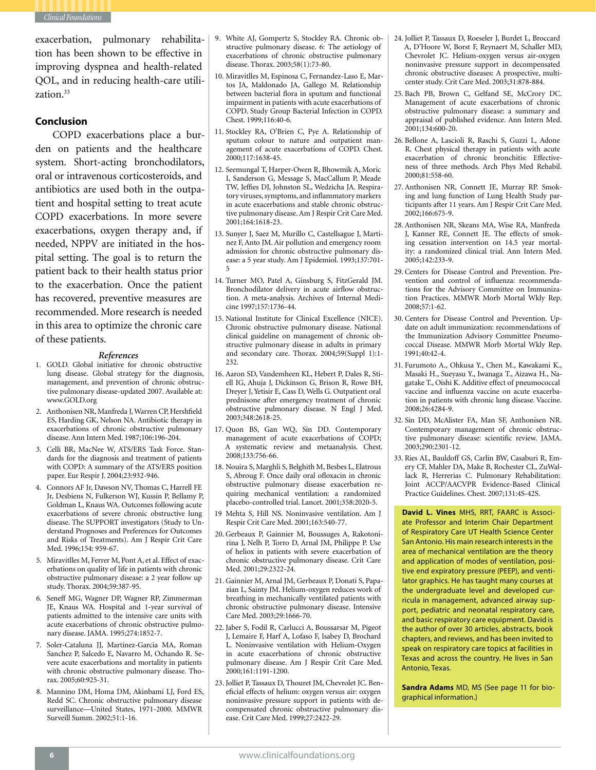

exacerbation, pulmonary rehabilitation has been shown to be effective in improving dyspnea and health-related QOL, and in reducing health-care utilization.<sup>33</sup>

### **Conclusion**

COPD exacerbations place a burden on patients and the healthcare system. Short-acting bronchodilators, oral or intravenous corticosteroids, and antibiotics are used both in the outpatient and hospital setting to treat acute COPD exacerbations. In more severe exacerbations, oxygen therapy and, if needed, NPPV are initiated in the hospital setting. The goal is to return the patient back to their health status prior to the exacerbation. Once the patient has recovered, preventive measures are recommended. More research is needed in this area to optimize the chronic care of these patients.

### *References*

- 1. GOLD. Global initiative for chronic obstructive lung disease. Global strategy for the diagnosis, management, and prevention of chronic obstructive pulmonary disease-updated 2007. Available at: www.GOLD.org
- 2. Anthonisen NR, Manfreda J, Warren CP, Hershfield ES, Harding GK, Nelson NA. Antibiotic therapy in exacerbations of chronic obstructive pulmonary disease. Ann Intern Med. 1987;106:196-204.
- 3. Celli BR, MacNee W, ATS/ERS Task Force. Standards for the diagnosis and treatment of patients with COPD: A summary of the ATS/ERS position paper. Eur Respir J. 2004;23:932-946.
- 4. Connors AF Jr, Dawson NV, Thomas C, Harrell FE Jr, Desbiens N, Fulkerson WJ, Kussin P, Bellamy P, Goldman L, Knaus WA. Outcomes following acute exacerbations of severe chronic obstructive lung disease. The SUPPORT investigators (Study to Understand Prognoses and Preferences for Outcomes and Risks of Treatments). Am J Respir Crit Care Med. 1996;154: 959-67.
- 5. Miravitlles M, Ferrer M, Pont A, et al. Effect of exacerbations on quality of life in patients with chronic obstructive pulmonary disease: a 2 year follow up study. Thorax. 2004;59:387-95.
- 6. Seneff MG, Wagner DP, Wagner RP, Zimmerman JE, Knaus WA. Hospital and 1-year survival of patients admitted to the intensive care units with acute exacerbations of chronic obstructive pulmonary disease. JAMA. 1995;274:1852-7.
- 7. Soler-Cataluna JJ, Martinez-Garcia MA, Roman Sanchez P, Salcedo E, Navarro M, Ochando R. Severe acute exacerbations and mortality in patients with chronic obstructive pulmonary disease. Thorax. 2005;60:925-31.
- 8. Mannino DM, Homa DM, Akinbami LJ, Ford ES, Redd SC. Chronic obstructive pulmonary disease surveillance—United States, 1971-2000. MMWR Surveill Summ. 2002;51:1-16.
- 9. White AJ, Gompertz S, Stockley RA. Chronic obstructive pulmonary disease. 6: The aetiology of exacerbations of chronic obstructive pulmonary disease. Thorax. 2003;58(1):73-80.
- 10. Miravitlles M, Espinosa C, Fernandez-Laso E, Martos JA, Maldonado JA, Gallego M. Relationship between bacterial flora in sputum and functional impairment in patients with acute exacerbations of COPD. Study Group Bacterial Infection in COPD. Chest. 1999;116:40-6.
- 11. Stockley RA, O'Brien C, Pye A. Relationship of sputum colour to nature and outpatient management of acute exacerbations of COPD. Chest. 2000;117:1638-45.
- 12. Seemungal T, Harper-Owen R, Bhowmik A, Moric I, Sanderson G, Message S, MacCallum P, Meade TW, Jeffies DJ, Johnston SL, Wedzicha JA. Respiratory viruses, symptoms, and inflammatory markers in acute exacerbations and stable chronic obstructive pulmonary disease. Am J Respir Crit Care Med. 2001;164:1618-23.
- 13. Sunyer J, Saez M, Murillo C, Castellsague J, Martinez F, Anto JM. Air pollution and emergency room admission for chronic obstructive pulmonary disease: a 5 year study. Am J Epidemiol. 1993;137:701- 5
- 14. Turner MO, Patel A, Ginsburg S, FitzGerald JM. Bronchodilator delivery in acute airflow obstruction. A meta-analysis. Archives of Internal Medicine 1997;157:1736-44.
- 15. National Institute for Clinical Excellence (NICE). Chronic obstructive pulmonary disease. National clinical guideline on management of chronic obstructive pulmonary disease in adults in primary and secondary care. Thorax. 2004;59(Suppl 1):1- 232.
- 16. Aaron SD, Vandemheen KL, Hebert P, Dales R, Stiell IG, Ahuja J, Dickinson G, Brison R, Rowe BH, Dreyer J, Yetisir E, Cass D, Wells G. Outpatient oral prednisone after emergency treatment of chronic obstructive pulmonary disease. N Engl J Med. 2003;348:2618-25.
- 17. Quon BS, Gan WQ, Sin DD. Contemporary management of acute exacerbations of COPD; A systematic review and metaanalysis. Chest. 2008;133:756-66.
- 18. Nouira S, Marghli S, Belghith M, Besbes L, Elatrous S, Abroug F. Once daily oral ofloxacin in chronic obstructive pulmonary disease exacerbation requiring mechanical ventilation: a randomized placebo-controlled trial. Lancet. 2001;358:2020-5.
- 19 Mehta S, Hill NS. Noninvasive ventilation. Am J Respir Crit Care Med. 2001;163:540-77.
- 20. Gerbeaux P, Gainnier M, Boussuges A, Rakotonirina J, Nelh P, Torro D, Arnal JM, Philippe P. Use of heliox in patients with severe exacerbation of chronic obstructive pulmonary disease. Crit Care Med. 2001;29:2322-24.
- 21. Gainnier M, Arnal JM, Gerbeaux P, Donati S, Papazian L, Sainty JM. Helium-oxygen reduces work of breathing in mechanically ventilated patients with chronic obstructive pulmonary disease. Intensive Care Med. 2003;29:1666-70.
- 22. Jaber S, Fodil R, Carlucci A, Boussarsar M, Pigeot J, Lemaire F, Harf A, Lofaso F, Isabey D, Brochard L. Noninvasive ventilation with Helium-Oxygen in acute exacerbations of chronic obstructive pulmonary disease. Am J Respir Crit Care Med. 2000;161:1191-1200.
- 23. Jolliet P, Tassaux D, Thouret JM, Chevrolet JC. Beneficial effects of helium: oxygen versus air: oxygen noninvasive pressure support in patients with decompensated chronic obstructive pulmonary disease. Crit Care Med. 1999;27:2422-29.
- 24. Jolliet P, Tassaux D, Roeseler J, Burdet L, Broccard A, D'Hoore W, Borst F, Reynaert M, Schaller MD, Chevrolet JC. Helium-oxygen versus air-oxygen noninvasive pressure support in decompensated chronic obstructive diseases: A prospective, multicenter study. Crit Care Med. 2003;31:878-884.
- 25. Bach PB, Brown C, Gelfand SE, McCrory DC. Management of acute exacerbations of chronic obstructive pulmonary disease: a summary and appraisal of published evidence. Ann Intern Med. 2001;134:600-20.
- 26. Bellone A, Lascioli R, Raschi S, Guzzi L, Adone R. Chest physical therapy in patients with acute exacerbation of chronic bronchitis: Effectiveness of three methods. Arch Phys Med Rehabil. 2000;81:558-60.
- 27. Anthonisen NR, Connett JE, Murray RP. Smoking and lung function of Lung Health Study participants after 11 years. Am J Respir Crit Care Med. 2002;166:675-9.
- 28. Anthonisen NR, Skeans MA, Wise RA, Manfreda J, Kanner RE, Connett JE. The effects of smoking cessation intervention on 14.5 year mortality: a randomized clinical trial. Ann Intern Med. 2005;142:233-9.
- 29. Centers for Disease Control and Prevention. Prevention and control of influenza: recommendations for the Advisory Committee on Immunization Practices. MMWR Morb Mortal Wkly Rep. 2008;57:1-62.
- 30. Centers for Disease Control and Prevention. Update on adult immunization: recommendations of the Immunization Advisory Committee Pneumococcal Disease. MMWR Morb Mortal Wkly Rep. 1991;40:42-4.
- 31. Furumoto A., Ohkusa Y., Chen M., Kawakami K., Masaki H., Sueyasu Y., Iwanaga T., Aizawa H., Nagatake T., Oishi K. Additive effect of pneumococcal vaccine and influenza vaccine on acute exacerbation in patients with chronic lung disease. Vaccine. 2008;26:4284-9.
- 32. Sin DD, McAlister FA, Man SF, Anthonisen NR. Contemporary management of chronic obstructive pulmonary disease: scientific review. JAMA. 2003;290:2301-12.
- 33. Ries AL, Bauldoff GS, Carlin BW, Casaburi R, Emery CF, Mahler DA, Make B, Rochester CL, ZuWallack R, Herrerias C. Pulmonary Rehabilitation: Joint ACCP/AACVPR Evidence-Based Clinical Practice Guidelines. Chest. 2007;131:4S-42S.

**David L. Vines** MHS, RRT, FAARC is Associate Professor and Interim Chair Department of Respiratory Care UT Health Science Center San Antonio. His main research interests in the area of mechanical ventilation are the theory and application of modes of ventilation, positive end expiratory pressure (PEEP), and ventilator graphics. He has taught many courses at the undergraduate level and developed curricula in management, advanced airway support, pediatric and neonatal respiratory care, and basic respiratory care equipment. David is the author of over 30 articles, abstracts, book chapters, and reviews, and has been invited to speak on respiratory care topics at facilities in Texas and across the country. He lives in San Antonio, Texas.

**Sandra Adams** MD, MS (See page 11 for biographical information.)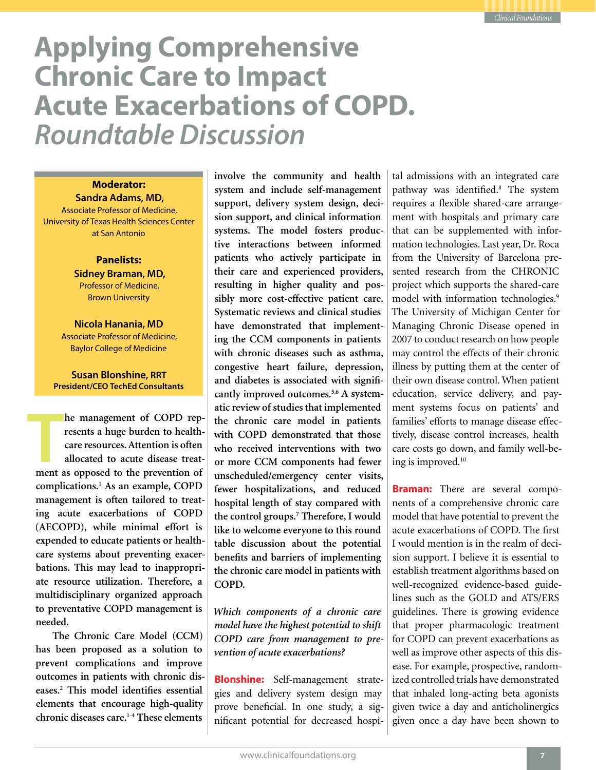# **Applying Comprehensive Chronic Care to Impact Acute Exacerbations of COPD.** *Roundtable Discussion*

# **Moderator:**

**Sandra Adams, MD,**  Associate Professor of Medicine, University of Texas Health Sciences Center at San Antonio

> **Panelists: Sidney Braman, MD,**  Professor of Medicine, Brown University

**Nicola Hanania, MD** Associate Professor of Medicine, Baylor College of Medicine

### **Susan Blonshine, RRT President/CEO TechEd Consultants**

**THE EXECUTE 18 THE EXECUTE:**<br> **THE EXECUTE EXECUTE:**<br> **THE EXECUTE:**<br> **THE EXECUTE:**<br> **THE EXECUTE:**<br> **THE EXECUTE:**<br> **THE EXECUTE:**<br> **THE EXECUTE:**<br> **THE EXECUTE:**<br> **THE EXECUTE:**<br> **THE EXECUTE:**<br> **THE EXECUTE:**<br> **THE EX he management of COPD represents a huge burden to healthcare resources. Attention is often allocated to acute disease treatcomplications.1 As an example, COPD management is often tailored to treating acute exacerbations of COPD (AECOPD), while minimal effort is expended to educate patients or healthcare systems about preventing exacerbations. This may lead to inappropriate resource utilization. Therefore, a multidisciplinary organized approach to preventative COPD management is needed.**

**The Chronic Care Model (CCM) has been proposed as a solution to prevent complications and improve outcomes in patients with chronic diseases.2 This model identifies essential elements that encourage high-quality chronic diseases care.1-4 These elements** 

**involve the community and health system and include self-management support, delivery system design, decision support, and clinical information systems. The model fosters productive interactions between informed patients who actively participate in their care and experienced providers, resulting in higher quality and possibly more cost-effective patient care. Systematic reviews and clinical studies have demonstrated that implementing the CCM components in patients with chronic diseases such as asthma, congestive heart failure, depression, and diabetes is associated with significantly improved outcomes.5,6 A systematic review of studies that implemented the chronic care model in patients with COPD demonstrated that those who received interventions with two or more CCM components had fewer unscheduled/emergency center visits, fewer hospitalizations, and reduced hospital length of stay compared with the control groups.7 Therefore, I would like to welcome everyone to this round table discussion about the potential benefits and barriers of implementing the chronic care model in patients with COPD.**

*Which components of a chronic care model have the highest potential to shift COPD care from management to prevention of acute exacerbations?*

**Blonshine:** Self-management strategies and delivery system design may prove beneficial. In one study, a significant potential for decreased hospital admissions with an integrated care pathway was identified.<sup>8</sup> The system requires a flexible shared-care arrangement with hospitals and primary care that can be supplemented with information technologies. Last year, Dr. Roca from the University of Barcelona presented research from the CHRONIC project which supports the shared-care model with information technologies.9 The University of Michigan Center for Managing Chronic Disease opened in 2007 to conduct research on how people may control the effects of their chronic illness by putting them at the center of their own disease control. When patient education, service delivery, and payment systems focus on patients' and families' efforts to manage disease effectively, disease control increases, health care costs go down, and family well-being is improved.10

**Braman:** There are several components of a comprehensive chronic care model that have potential to prevent the acute exacerbations of COPD. The first I would mention is in the realm of decision support. I believe it is essential to establish treatment algorithms based on well-recognized evidence-based guidelines such as the GOLD and ATS/ERS guidelines. There is growing evidence that proper pharmacologic treatment for COPD can prevent exacerbations as well as improve other aspects of this disease. For example, prospective, randomized controlled trials have demonstrated that inhaled long-acting beta agonists given twice a day and anticholinergics given once a day have been shown to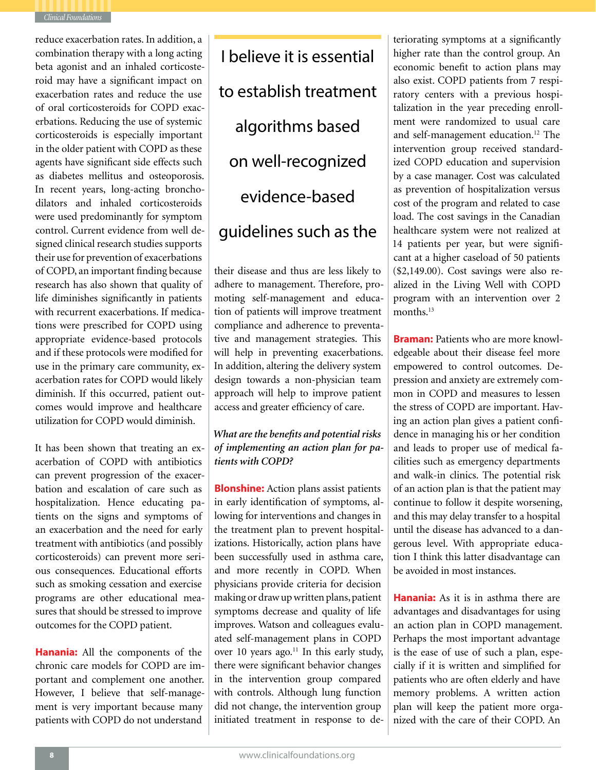

reduce exacerbation rates. In addition, a combination therapy with a long acting beta agonist and an inhaled corticosteroid may have a significant impact on exacerbation rates and reduce the use of oral corticosteroids for COPD exacerbations. Reducing the use of systemic corticosteroids is especially important in the older patient with COPD as these agents have significant side effects such as diabetes mellitus and osteoporosis. In recent years, long-acting bronchodilators and inhaled corticosteroids were used predominantly for symptom control. Current evidence from well designed clinical research studies supports their use for prevention of exacerbations of COPD, an important finding because research has also shown that quality of life diminishes significantly in patients with recurrent exacerbations. If medications were prescribed for COPD using appropriate evidence-based protocols and if these protocols were modified for use in the primary care community, exacerbation rates for COPD would likely diminish. If this occurred, patient outcomes would improve and healthcare utilization for COPD would diminish.

It has been shown that treating an exacerbation of COPD with antibiotics can prevent progression of the exacerbation and escalation of care such as hospitalization. Hence educating patients on the signs and symptoms of an exacerbation and the need for early treatment with antibiotics (and possibly corticosteroids) can prevent more serious consequences. Educational efforts such as smoking cessation and exercise programs are other educational measures that should be stressed to improve outcomes for the COPD patient.

**Hanania:** All the components of the chronic care models for COPD are important and complement one another. However, I believe that self-management is very important because many patients with COPD do not understand

I believe it is essential to establish treatment algorithms based on well-recognized evidence-based guidelines such as the

their disease and thus are less likely to adhere to management. Therefore, promoting self-management and education of patients will improve treatment compliance and adherence to preventative and management strategies. This will help in preventing exacerbations. In addition, altering the delivery system design towards a non-physician team approach will help to improve patient access and greater efficiency of care.

*What are the benefits and potential risks of implementing an action plan for patients with COPD?*

**Blonshine:** Action plans assist patients in early identification of symptoms, allowing for interventions and changes in the treatment plan to prevent hospitalizations. Historically, action plans have been successfully used in asthma care, and more recently in COPD. When physicians provide criteria for decision making or draw up written plans, patient symptoms decrease and quality of life improves. Watson and colleagues evaluated self-management plans in COPD over 10 years ago.<sup>11</sup> In this early study, there were significant behavior changes in the intervention group compared with controls. Although lung function did not change, the intervention group initiated treatment in response to deteriorating symptoms at a significantly higher rate than the control group. An economic benefit to action plans may also exist. COPD patients from 7 respiratory centers with a previous hospitalization in the year preceding enrollment were randomized to usual care and self-management education.<sup>12</sup> The intervention group received standardized COPD education and supervision by a case manager. Cost was calculated as prevention of hospitalization versus cost of the program and related to case load. The cost savings in the Canadian healthcare system were not realized at 14 patients per year, but were significant at a higher caseload of 50 patients (\$2,149.00). Cost savings were also realized in the Living Well with COPD program with an intervention over 2 months.<sup>13</sup>

**Braman:** Patients who are more knowledgeable about their disease feel more empowered to control outcomes. Depression and anxiety are extremely common in COPD and measures to lessen the stress of COPD are important. Having an action plan gives a patient confidence in managing his or her condition and leads to proper use of medical facilities such as emergency departments and walk-in clinics. The potential risk of an action plan is that the patient may continue to follow it despite worsening, and this may delay transfer to a hospital until the disease has advanced to a dangerous level. With appropriate education I think this latter disadvantage can be avoided in most instances.

**Hanania:** As it is in asthma there are advantages and disadvantages for using an action plan in COPD management. Perhaps the most important advantage is the ease of use of such a plan, especially if it is written and simplified for patients who are often elderly and have memory problems. A written action plan will keep the patient more organized with the care of their COPD. An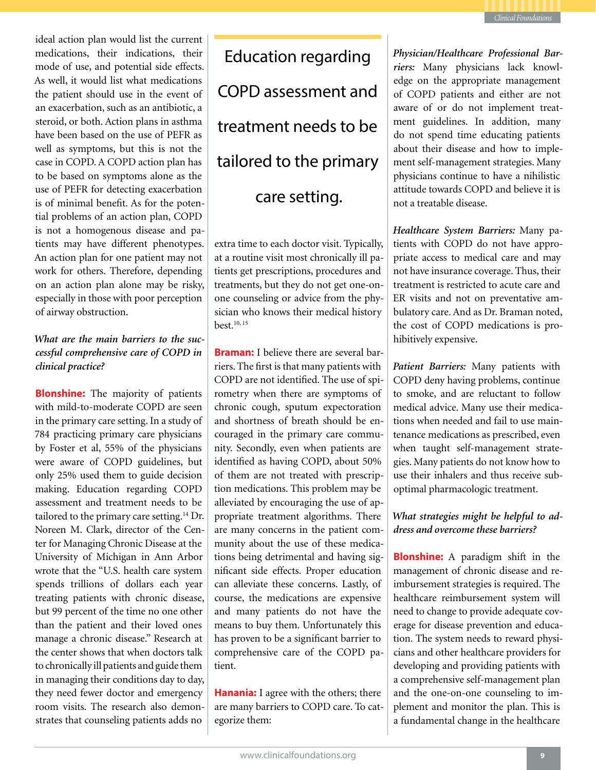

ideal action plan would list the current medications, their indications, their mode of use, and potential side effects. As well, it would list what medications the patient should use in the event of an exacerbation, such as an antibiotic, a steroid, or both. Action plans in asthma have been based on the use of PEFR as well as symptoms, but this is not the case in COPD. A COPD action plan has to be based on symptoms alone as the use of PEFR for detecting exacerbation is of minimal benefit. As for the potential problems of an action plan, COPD is not a homogenous disease and patients may have different phenotypes. An action plan for one patient may not work for others. Therefore, depending on an action plan alone may be risky, especially in those with poor perception of airway obstruction.

# *What are the main barriers to the successful comprehensive care of COPD in clinical practice?*

**Blonshine:** The majority of patients with mild-to-moderate COPD are seen in the primary care setting. In a study of 784 practicing primary care physicians by Foster et al, 55% of the physicians were aware of COPD guidelines, but only 25% used them to guide decision making. Education regarding COPD assessment and treatment needs to be tailored to the primary care setting.<sup>14</sup> Dr. Noreen M. Clark, director of the Center for Managing Chronic Disease at the University of Michigan in Ann Arbor wrote that the "U.S. health care system spends trillions of dollars each year treating patients with chronic disease, but 99 percent of the time no one other than the patient and their loved ones manage a chronic disease." Research at the center shows that when doctors talk to chronically ill patients and guide them in managing their conditions day to day, they need fewer doctor and emergency room visits. The research also demonstrates that counseling patients adds no

Education regarding COPD assessment and treatment needs to be tailored to the primary care setting.

extra time to each doctor visit. Typically, at a routine visit most chronically ill patients get prescriptions, procedures and treatments, but they do not get one-onone counseling or advice from the physician who knows their medical history best.10, 15

**Braman:** I believe there are several barriers. The first is that many patients with COPD are not identified. The use of spirometry when there are symptoms of chronic cough, sputum expectoration and shortness of breath should be encouraged in the primary care community. Secondly, even when patients are identified as having COPD, about 50% of them are not treated with prescription medications. This problem may be alleviated by encouraging the use of appropriate treatment algorithms. There are many concerns in the patient community about the use of these medications being detrimental and having significant side effects. Proper education can alleviate these concerns. Lastly, of course, the medications are expensive and many patients do not have the means to buy them. Unfortunately this has proven to be a significant barrier to comprehensive care of the COPD patient.

**Hanania:** I agree with the others; there are many barriers to COPD care. To categorize them:

*Physician/Healthcare Professional Barriers:* Many physicians lack knowledge on the appropriate management of COPD patients and either are not aware of or do not implement treatment guidelines. In addition, many do not spend time educating patients about their disease and how to implement self-management strategies. Many physicians continue to have a nihilistic attitude towards COPD and believe it is not a treatable disease.

*Healthcare System Barriers:* Many patients with COPD do not have appropriate access to medical care and may not have insurance coverage. Thus, their treatment is restricted to acute care and ER visits and not on preventative ambulatory care. And as Dr. Braman noted, the cost of COPD medications is prohibitively expensive.

*Patient Barriers:* Many patients with COPD deny having problems, continue to smoke, and are reluctant to follow medical advice. Many use their medications when needed and fail to use maintenance medications as prescribed, even when taught self-management strategies. Many patients do not know how to use their inhalers and thus receive suboptimal pharmacologic treatment.

# *What strategies might be helpful to address and overcome these barriers?*

**Blonshine:** A paradigm shift in the management of chronic disease and reimbursement strategies is required. The healthcare reimbursement system will need to change to provide adequate coverage for disease prevention and education. The system needs to reward physicians and other healthcare providers for developing and providing patients with a comprehensive self-management plan and the one-on-one counseling to implement and monitor the plan. This is a fundamental change in the healthcare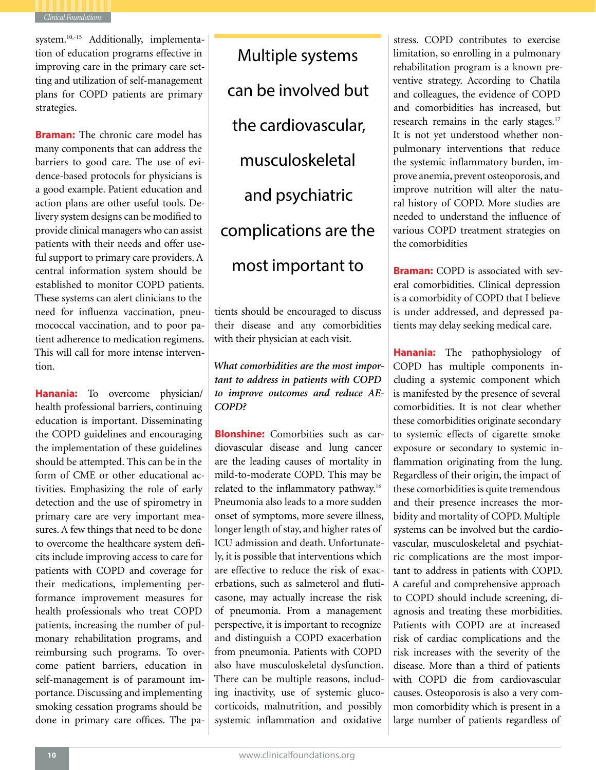

system.<sup>10,-15</sup> Additionally, implementation of education programs effective in improving care in the primary care setting and utilization of self-management plans for COPD patients are primary strategies.

**Braman:** The chronic care model has many components that can address the barriers to good care. The use of evidence-based protocols for physicians is a good example. Patient education and action plans are other useful tools. Delivery system designs can be modified to provide clinical managers who can assist patients with their needs and offer useful support to primary care providers. A central information system should be established to monitor COPD patients. These systems can alert clinicians to the need for influenza vaccination, pneumococcal vaccination, and to poor patient adherence to medication regimens. This will call for more intense intervention.

**Hanania:** To overcome physician/ health professional barriers, continuing education is important. Disseminating the COPD guidelines and encouraging the implementation of these guidelines should be attempted. This can be in the form of CME or other educational activities. Emphasizing the role of early detection and the use of spirometry in primary care are very important measures. A few things that need to be done to overcome the healthcare system deficits include improving access to care for patients with COPD and coverage for their medications, implementing performance improvement measures for health professionals who treat COPD patients, increasing the number of pulmonary rehabilitation programs, and reimbursing such programs. To overcome patient barriers, education in self-management is of paramount importance. Discussing and implementing smoking cessation programs should be done in primary care offices. The pa-

Multiple systems can be involved but the cardiovascular, musculoskeletal and psychiatric complications are the most important to

tients should be encouraged to discuss their disease and any comorbidities with their physician at each visit.

*What comorbidities are the most important to address in patients with COPD to improve outcomes and reduce AE-COPD?*

**Blonshine:** Comorbities such as cardiovascular disease and lung cancer are the leading causes of mortality in mild-to-moderate COPD. This may be related to the inflammatory pathway.16 Pneumonia also leads to a more sudden onset of symptoms, more severe illness, longer length of stay, and higher rates of ICU admission and death. Unfortunately, it is possible that interventions which are effective to reduce the risk of exacerbations, such as salmeterol and fluticasone, may actually increase the risk of pneumonia. From a management perspective, it is important to recognize and distinguish a COPD exacerbation from pneumonia. Patients with COPD also have musculoskeletal dysfunction. There can be multiple reasons, including inactivity, use of systemic glucocorticoids, malnutrition, and possibly systemic inflammation and oxidative

stress. COPD contributes to exercise limitation, so enrolling in a pulmonary rehabilitation program is a known preventive strategy. According to Chatila and colleagues, the evidence of COPD and comorbidities has increased, but research remains in the early stages.<sup>17</sup> It is not yet understood whether nonpulmonary interventions that reduce the systemic inflammatory burden, improve anemia, prevent osteoporosis, and improve nutrition will alter the natural history of COPD. More studies are needed to understand the influence of various COPD treatment strategies on the comorbidities

**Braman:** COPD is associated with several comorbidities. Clinical depression is a comorbidity of COPD that I believe is under addressed, and depressed patients may delay seeking medical care.

**Hanania:** The pathophysiology of COPD has multiple components including a systemic component which is manifested by the presence of several comorbidities. It is not clear whether these comorbidities originate secondary to systemic effects of cigarette smoke exposure or secondary to systemic inflammation originating from the lung. Regardless of their origin, the impact of these comorbidities is quite tremendous and their presence increases the morbidity and mortality of COPD. Multiple systems can be involved but the cardiovascular, musculoskeletal and psychiatric complications are the most important to address in patients with COPD. A careful and comprehensive approach to COPD should include screening, diagnosis and treating these morbidities. Patients with COPD are at increased risk of cardiac complications and the risk increases with the severity of the disease. More than a third of patients with COPD die from cardiovascular causes. Osteoporosis is also a very common comorbidity which is present in a large number of patients regardless of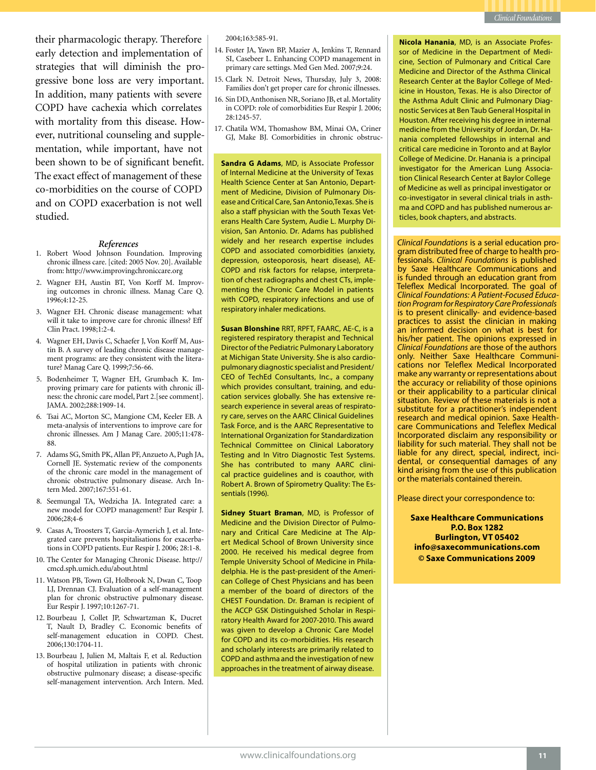their pharmacologic therapy. Therefore early detection and implementation of strategies that will diminish the progressive bone loss are very important. In addition, many patients with severe COPD have cachexia which correlates with mortality from this disease. However, nutritional counseling and supplementation, while important, have not been shown to be of significant benefit. The exact effect of management of these co-morbidities on the course of COPD and on COPD exacerbation is not well studied.

### *References*

- 1. Robert Wood Johnson Foundation. Improving chronic illness care. [cited: 2005 Nov. 20]. Available from: http://www.improvingchroniccare.org
- 2. Wagner EH, Austin BT, Von Korff M. Improving outcomes in chronic illness. Manag Care Q. 1996;4:12-25.
- 3. Wagner EH. Chronic disease management: what will it take to improve care for chronic illness? Eff Clin Pract. 1998;1:2-4.
- 4. Wagner EH, Davis C, Schaefer J, Von Korff M, Austin B. A survey of leading chronic disease management programs: are they consistent with the literature? Manag Care Q. 1999;7:56-66.
- 5. Bodenheimer T, Wagner EH, Grumbach K. Improving primary care for patients with chronic illness: the chronic care model, Part 2.[see comment]. JAMA. 2002;288:1909-14.
- 6. Tsai AC, Morton SC, Mangione CM, Keeler EB. A meta-analysis of interventions to improve care for chronic illnesses. Am J Manag Care. 2005;11:478- 88.
- 7. Adams SG, Smith PK, Allan PF, Anzueto A, Pugh JA, Cornell JE. Systematic review of the components of the chronic care model in the management of chronic obstructive pulmonary disease. Arch Intern Med. 2007;167:551-61.
- 8. Seemungal TA, Wedzicha JA. Integrated care: a new model for COPD management? Eur Respir J. 2006;28;4-6
- 9. Casas A, Troosters T, Garcia-Aymerich J, et al. Integrated care prevents hospitalisations for exacerbations in COPD patients. Eur Respir J. 2006; 28:1-8.
- 10. The Center for Managing Chronic Disease. http:// cmcd.sph.umich.edu/about.html
- 11. Watson PB, Town GI, Holbrook N, Dwan C, Toop LJ, Drennan CJ. Evaluation of a self-management plan for chronic obstructive pulmonary disease. Eur Respir J. 1997;10:1267-71.
- 12. Bourbeau J, Collet JP, Schwartzman K, Ducret T, Nault D, Bradley C. Economic benefits of self-management education in COPD. Chest. 2006;130:1704-11.
- 13. Bourbeau J, Julien M, Maltais F, et al. Reduction of hospital utilization in patients with chronic obstructive pulmonary disease; a disease-specific self-management intervention. Arch Intern. Med.

2004;163:585-91.

- 14. Foster JA, Yawn BP, Mazier A, Jenkins T, Rennard SI, Casebeer L. Enhancing COPD management in primary care settings. Med Gen Med. 2007;9:24.
- 15. Clark N. Detroit News, Thursday, July 3, 2008: Families don't get proper care for chronic illnesses.
- 16. Sin DD, Anthonisen NR, Soriano JB, et al. Mortality in COPD: role of comorbidities Eur Respir J. 2006; 28:1245-57.
- 17. Chatila WM, Thomashow BM, Minai OA, Criner GJ, Make BJ. Comorbidities in chronic obstruc-

**Sandra G Adams**, MD, is Associate Professor of Internal Medicine at the University of Texas Health Science Center at San Antonio, Department of Medicine, Division of Pulmonary Disease and Critical Care, San Antonio,Texas. She is also a staff physician with the South Texas Veterans Health Care System, Audie L. Murphy Division, San Antonio. Dr. Adams has published widely and her research expertise includes COPD and associated comorbidities (anxiety, depression, osteoporosis, heart disease), AE-COPD and risk factors for relapse, interpretation of chest radiographs and chest CTs, implementing the Chronic Care Model in patients with COPD, respiratory infections and use of respiratory inhaler medications.

**Susan Blonshine** RRT, RPFT, FAARC, AE-C, is a registered respiratory therapist and Technical Director of the Pediatric Pulmonary Laboratory at Michigan State University. She is also cardiopulmonary diagnostic specialist and President/ CEO of TechEd Consultants, Inc., a company which provides consultant, training, and education services globally. She has extensive research experience in several areas of respiratory care, serves on the AARC Clinical Guidelines Task Force, and is the AARC Representative to International Organization for Standardization Technical Committee on Clinical Laboratory Testing and In Vitro Diagnostic Test Systems. She has contributed to many AARC clinical practice guidelines and is coauthor, with Robert A. Brown of Spirometry Quality: The Essentials (1996).

**Sidney Stuart Braman**, MD, is Professor of Medicine and the Division Director of Pulmonary and Critical Care Medicine at The Alpert Medical School of Brown University since 2000. He received his medical degree from Temple University School of Medicine in Philadelphia. He is the past-president of the American College of Chest Physicians and has been a member of the board of directors of the CHEST Foundation. Dr. Braman is recipient of the ACCP GSK Distinguished Scholar in Respiratory Health Award for 2007-2010. This award was given to develop a Chronic Care Model for COPD and its co-morbidities. His research and scholarly interests are primarily related to COPD and asthma and the investigation of new approaches in the treatment of airway disease.

**Nicola Hanania**, MD, is an Associate Professor of Medicine in the Department of Medicine, Section of Pulmonary and Critical Care Medicine and Director of the Asthma Clinical Research Center at the Baylor College of Medicine in Houston, Texas. He is also Director of the Asthma Adult Clinic and Pulmonary Diagnostic Services at Ben Taub General Hospital in Houston. After receiving his degree in internal medicine from the University of Jordan, Dr. Hanania completed fellowships in internal and critical care medicine in Toronto and at Baylor College of Medicine. Dr. Hanania is a principal investigator for the American Lung Association Clinical Research Center at Baylor College of Medicine as well as principal investigator or co-investigator in several clinical trials in asthma and COPD and has published numerous articles, book chapters, and abstracts.

*Clinical Foundations* is a serial education program distributed free of charge to health professionals. *Clinical Foundations* is published by Saxe Healthcare Communications and is funded through an education grant from Teleflex Medical Incorporated. The goal of *Clinical Foundations: A Patient-Focused Education Program for Respiratory Care Professionals* is to present clinically- and evidence-based practices to assist the clinician in making an informed decision on what is best for his/her patient. The opinions expressed in *Clinical Foundations* are those of the authors cations nor Teleflex Medical Incorporated make any warranty or representations about the accuracy or reliability of those opinions or their applicability to a particular clinical situation. Review of these materials is not a substitute for a practitioner's independent<br>research and medical opinion. Saxe Healthcare Communications and Teleflex Medical Incorporated disclaim any responsibility or liability for such material. They shall not be liable for any direct, special, indirect, inci- dental, or consequential damages of any kind arising from the use of this publication or the materials contained therein.

Please direct your correspondence to:

**Saxe Healthcare Communications P.O. Box 1282 Burlington, VT 05402 info@saxecommunications.com © Saxe Communications 2009**